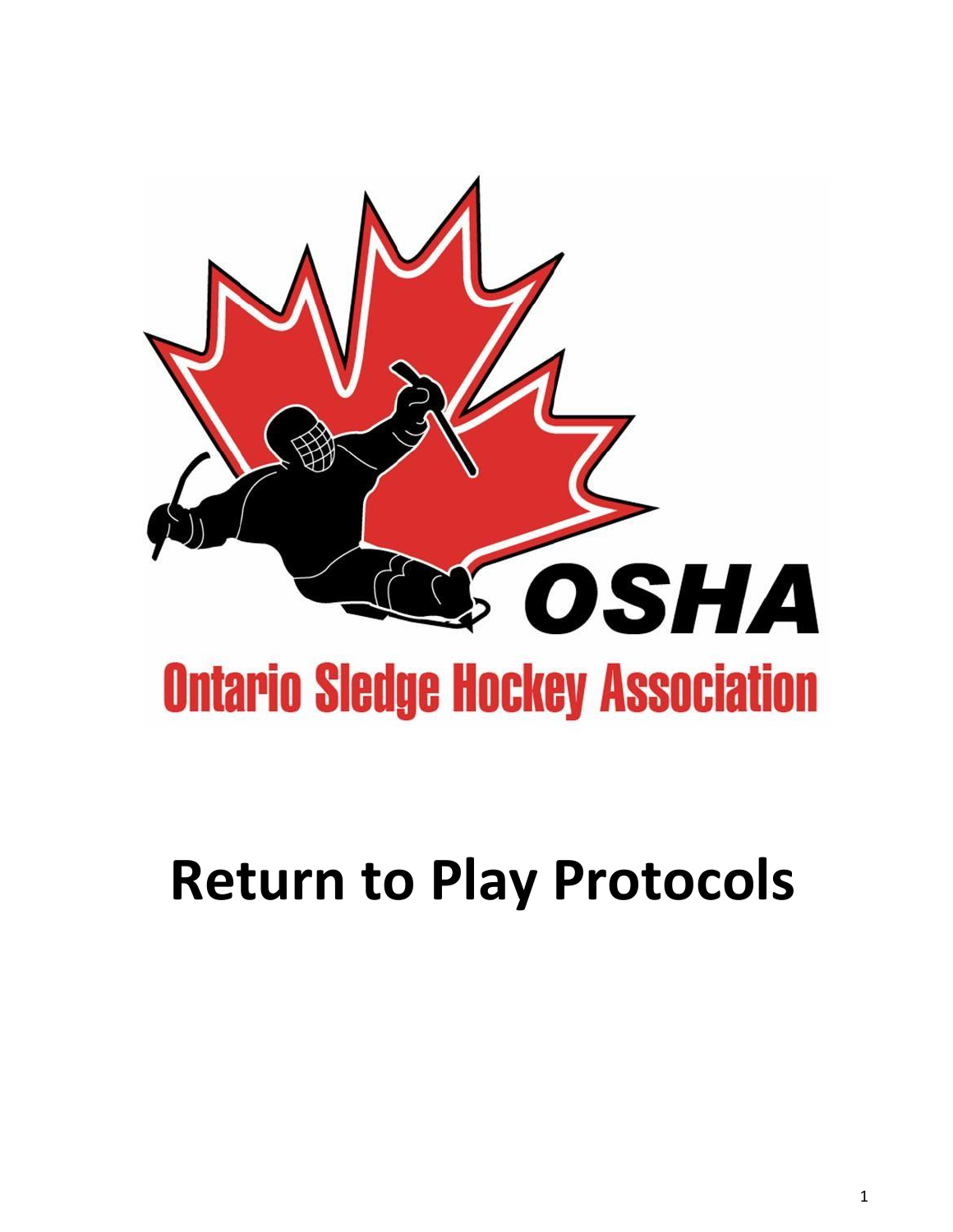

# **Return to Play Protocols**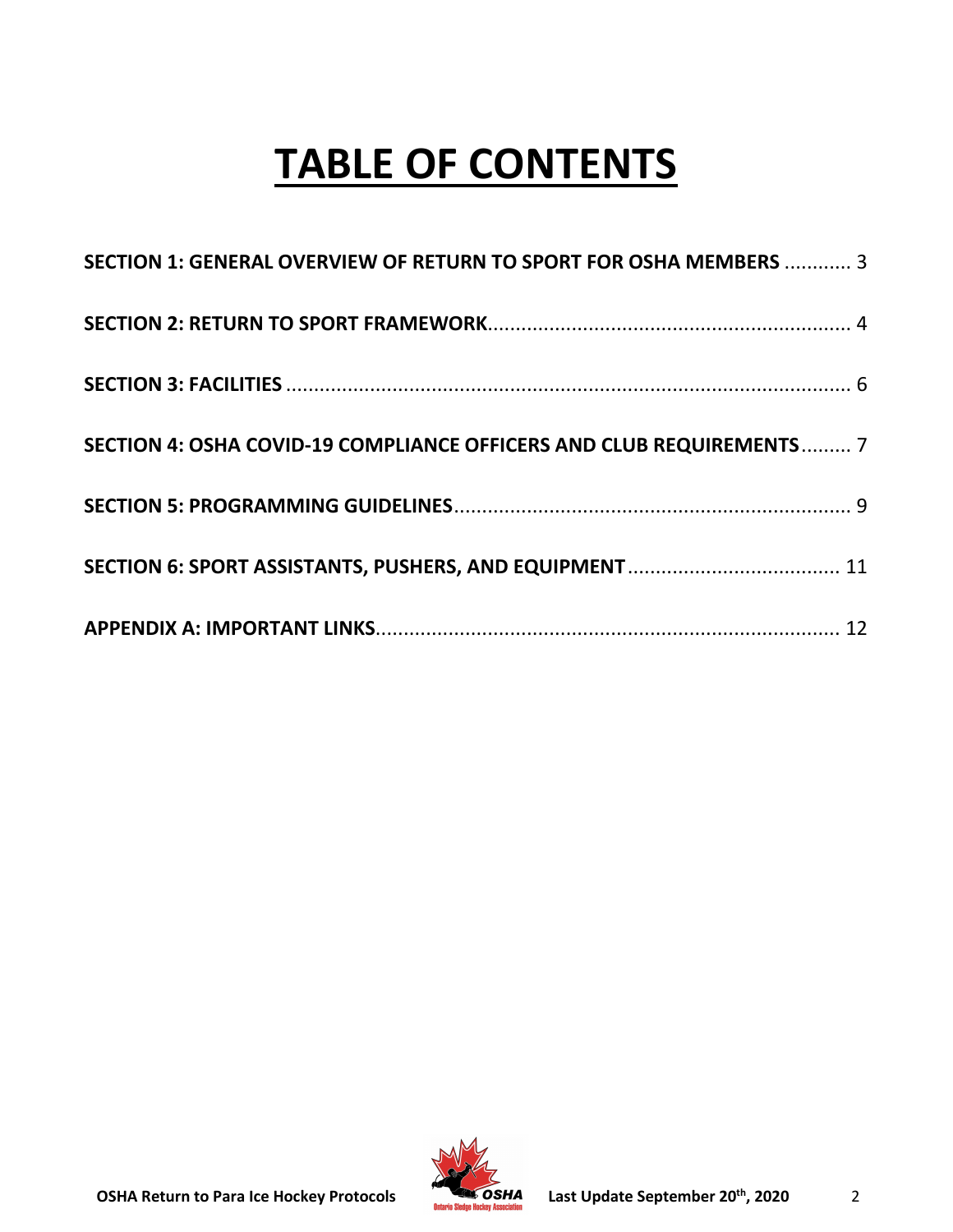## **TABLE OF CONTENTS**

| SECTION 1: GENERAL OVERVIEW OF RETURN TO SPORT FOR OSHA MEMBERS  3   |  |
|----------------------------------------------------------------------|--|
|                                                                      |  |
|                                                                      |  |
| SECTION 4: OSHA COVID-19 COMPLIANCE OFFICERS AND CLUB REQUIREMENTS 7 |  |
|                                                                      |  |
|                                                                      |  |
|                                                                      |  |

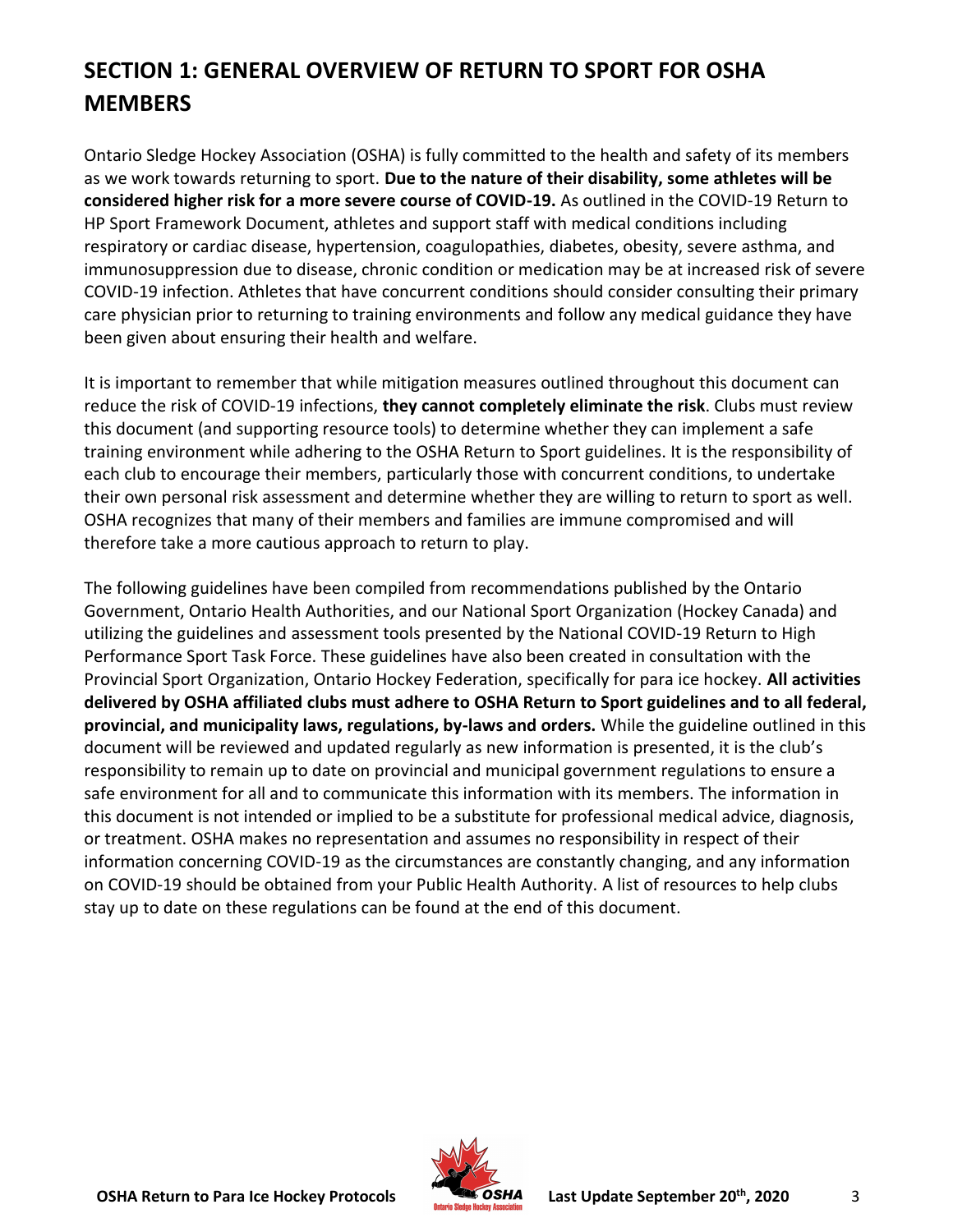## <span id="page-2-0"></span>**SECTION 1: GENERAL OVERVIEW OF RETURN TO SPORT FOR OSHA MEMBERS**

Ontario Sledge Hockey Association (OSHA) is fully committed to the health and safety of its members as we work towards returning to sport. **Due to the nature of their disability, some athletes will be considered higher risk for a more severe course of COVID-19.** As outlined in the COVID-19 Return to HP Sport Framework Document, athletes and support staff with medical conditions including respiratory or cardiac disease, hypertension, coagulopathies, diabetes, obesity, severe asthma, and immunosuppression due to disease, chronic condition or medication may be at increased risk of severe COVID-19 infection. Athletes that have concurrent conditions should consider consulting their primary care physician prior to returning to training environments and follow any medical guidance they have been given about ensuring their health and welfare.

It is important to remember that while mitigation measures outlined throughout this document can reduce the risk of COVID-19 infections, **they cannot completely eliminate the risk**. Clubs must review this document (and supporting resource tools) to determine whether they can implement a safe training environment while adhering to the OSHA Return to Sport guidelines. It is the responsibility of each club to encourage their members, particularly those with concurrent conditions, to undertake their own personal risk assessment and determine whether they are willing to return to sport as well. OSHA recognizes that many of their members and families are immune compromised and will therefore take a more cautious approach to return to play.

The following guidelines have been compiled from recommendations published by the Ontario Government, Ontario Health Authorities, and our National Sport Organization (Hockey Canada) and utilizing the guidelines and assessment tools presented by the National COVID-19 Return to High Performance Sport Task Force. These guidelines have also been created in consultation with the Provincial Sport Organization, Ontario Hockey Federation, specifically for para ice hockey. **All activities delivered by OSHA affiliated clubs must adhere to OSHA Return to Sport guidelines and to all federal, provincial, and municipality laws, regulations, by-laws and orders.** While the guideline outlined in this document will be reviewed and updated regularly as new information is presented, it is the club's responsibility to remain up to date on provincial and municipal government regulations to ensure a safe environment for all and to communicate this information with its members. The information in this document is not intended or implied to be a substitute for professional medical advice, diagnosis, or treatment. OSHA makes no representation and assumes no responsibility in respect of their information concerning COVID-19 as the circumstances are constantly changing, and any information on COVID-19 should be obtained from your Public Health Authority. A list of resources to help clubs stay up to date on these regulations can be found at the end of this document.

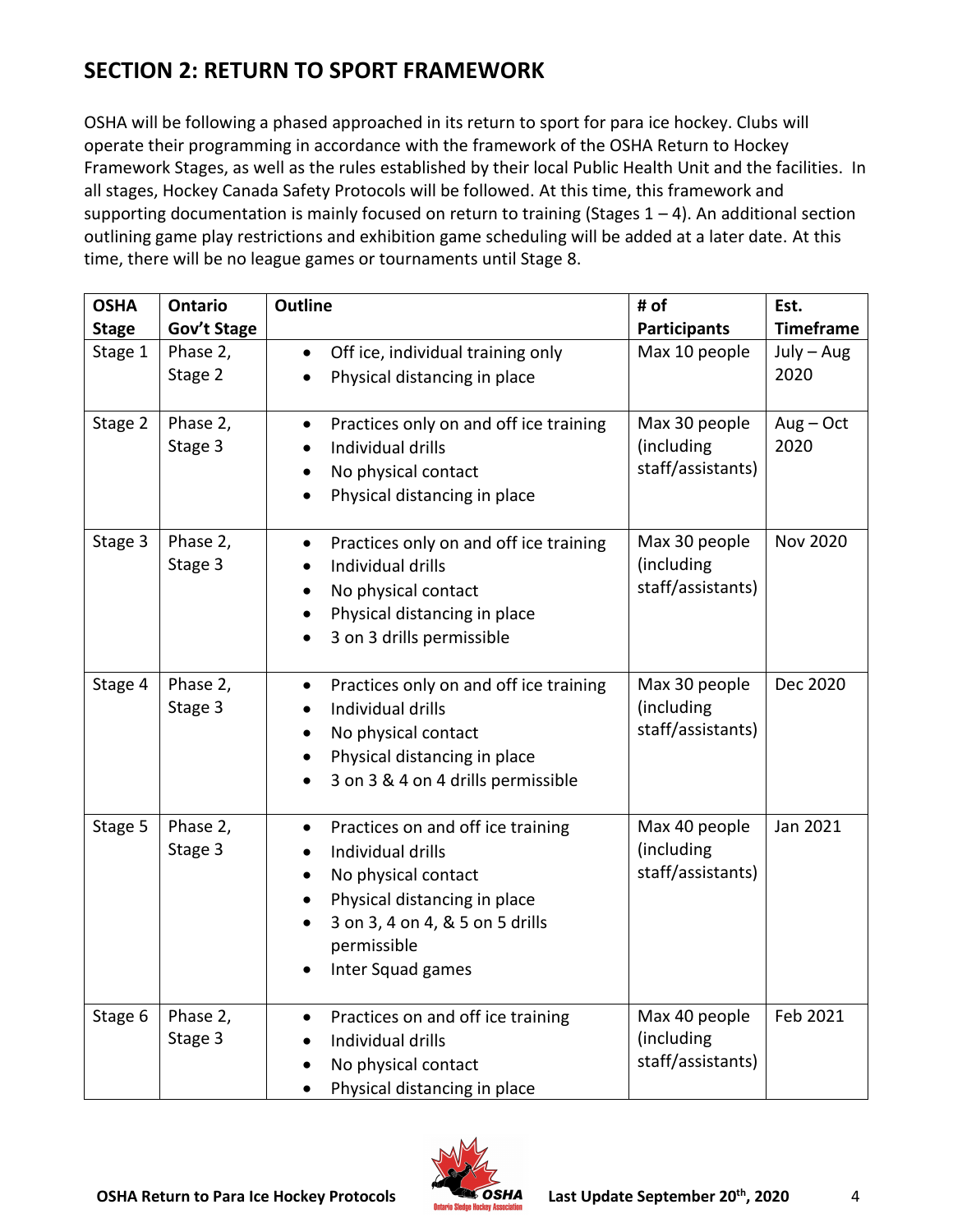## <span id="page-3-0"></span>**SECTION 2: RETURN TO SPORT FRAMEWORK**

OSHA will be following a phased approached in its return to sport for para ice hockey. Clubs will operate their programming in accordance with the framework of the OSHA Return to Hockey Framework Stages, as well as the rules established by their local Public Health Unit and the facilities. In all stages, Hockey Canada Safety Protocols will be followed. At this time, this framework and supporting documentation is mainly focused on return to training (Stages  $1 - 4$ ). An additional section outlining game play restrictions and exhibition game scheduling will be added at a later date. At this time, there will be no league games or tournaments until Stage 8.

| <b>OSHA</b>  | <b>Ontario</b>          | <b>Outline</b>                                                                                                                                                                                                              | # of                                             | Est.                             |
|--------------|-------------------------|-----------------------------------------------------------------------------------------------------------------------------------------------------------------------------------------------------------------------------|--------------------------------------------------|----------------------------------|
| <b>Stage</b> | Gov't Stage<br>Phase 2, |                                                                                                                                                                                                                             | <b>Participants</b><br>Max 10 people             | <b>Timeframe</b><br>$July - Aug$ |
| Stage 1      | Stage 2                 | Off ice, individual training only<br>$\bullet$<br>Physical distancing in place                                                                                                                                              |                                                  | 2020                             |
|              |                         |                                                                                                                                                                                                                             |                                                  |                                  |
| Stage 2      | Phase 2,<br>Stage 3     | Practices only on and off ice training<br>$\bullet$<br>Individual drills<br>$\bullet$<br>No physical contact<br>$\bullet$<br>Physical distancing in place                                                                   | Max 30 people<br>(including<br>staff/assistants) | $Aug - Oct$<br>2020              |
| Stage 3      | Phase 2,<br>Stage 3     | Practices only on and off ice training<br>$\bullet$<br>Individual drills<br>$\bullet$<br>No physical contact<br>$\bullet$<br>Physical distancing in place<br>3 on 3 drills permissible                                      | Max 30 people<br>(including<br>staff/assistants) | <b>Nov 2020</b>                  |
| Stage 4      | Phase 2,<br>Stage 3     | Practices only on and off ice training<br>$\bullet$<br>Individual drills<br>$\bullet$<br>No physical contact<br>Physical distancing in place<br>3 on 3 & 4 on 4 drills permissible                                          | Max 30 people<br>(including<br>staff/assistants) | Dec 2020                         |
| Stage 5      | Phase 2,<br>Stage 3     | Practices on and off ice training<br>$\bullet$<br>Individual drills<br>No physical contact<br>$\bullet$<br>Physical distancing in place<br>$\bullet$<br>3 on 3, 4 on 4, & 5 on 5 drills<br>permissible<br>Inter Squad games | Max 40 people<br>(including<br>staff/assistants) | Jan 2021                         |
| Stage 6      | Phase 2,<br>Stage 3     | Practices on and off ice training<br>$\bullet$<br>Individual drills<br>No physical contact<br>Physical distancing in place                                                                                                  | Max 40 people<br>(including<br>staff/assistants) | Feb 2021                         |

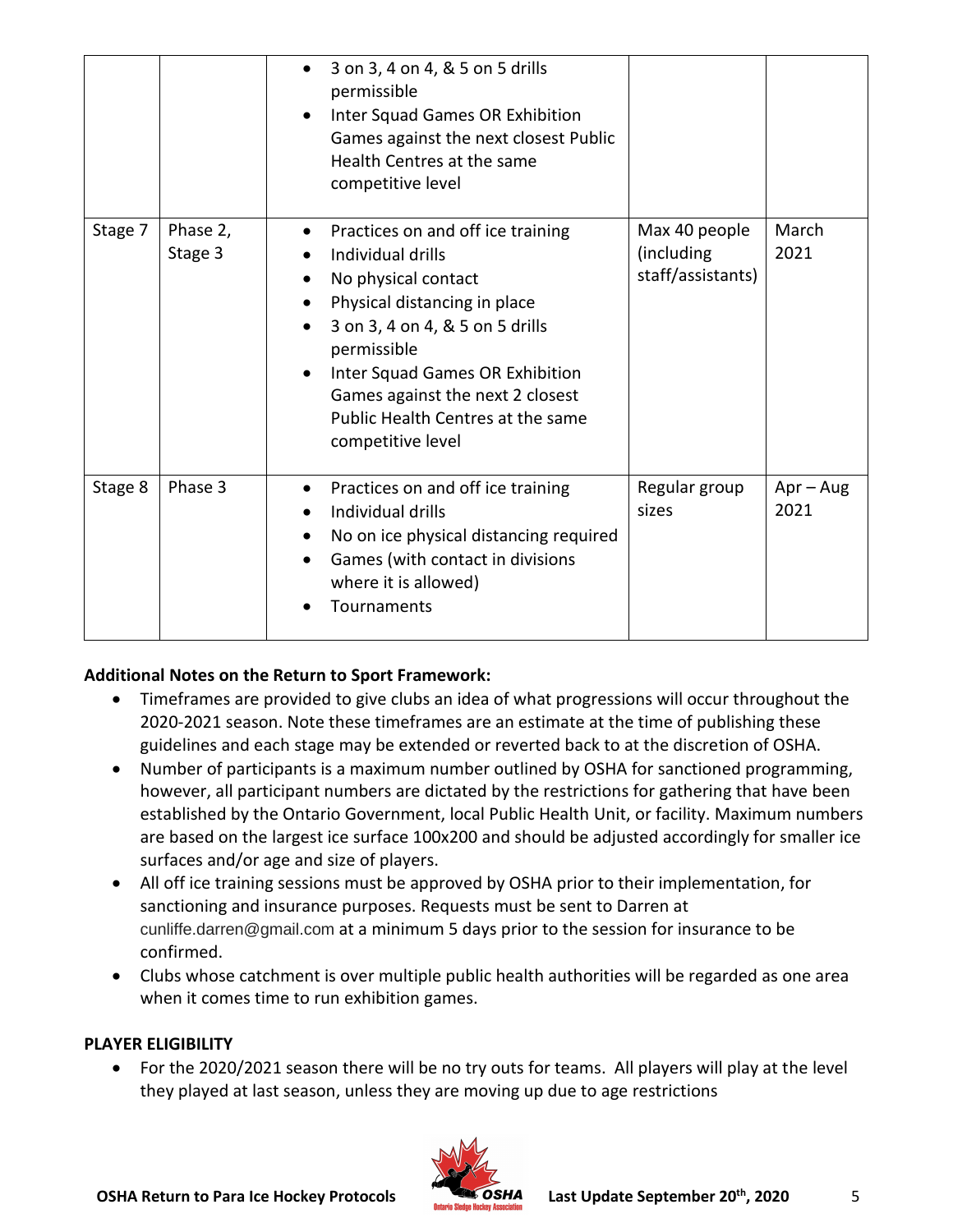|         |                     | 3 on 3, 4 on 4, & 5 on 5 drills<br>permissible<br>Inter Squad Games OR Exhibition<br>Games against the next closest Public<br>Health Centres at the same<br>competitive level                                                                                                                                 |                                                  |                     |
|---------|---------------------|---------------------------------------------------------------------------------------------------------------------------------------------------------------------------------------------------------------------------------------------------------------------------------------------------------------|--------------------------------------------------|---------------------|
| Stage 7 | Phase 2,<br>Stage 3 | Practices on and off ice training<br>$\bullet$<br>Individual drills<br>No physical contact<br>Physical distancing in place<br>3 on 3, 4 on 4, & 5 on 5 drills<br>permissible<br>Inter Squad Games OR Exhibition<br>Games against the next 2 closest<br>Public Health Centres at the same<br>competitive level | Max 40 people<br>(including<br>staff/assistants) | March<br>2021       |
| Stage 8 | Phase 3             | Practices on and off ice training<br>$\bullet$<br>Individual drills<br>$\bullet$<br>No on ice physical distancing required<br>٠<br>Games (with contact in divisions<br>$\bullet$<br>where it is allowed)<br>Tournaments                                                                                       | Regular group<br>sizes                           | $Apr - Aug$<br>2021 |

#### **Additional Notes on the Return to Sport Framework:**

- Timeframes are provided to give clubs an idea of what progressions will occur throughout the 2020-2021 season. Note these timeframes are an estimate at the time of publishing these guidelines and each stage may be extended or reverted back to at the discretion of OSHA.
- Number of participants is a maximum number outlined by OSHA for sanctioned programming, however, all participant numbers are dictated by the restrictions for gathering that have been established by the Ontario Government, local Public Health Unit, or facility. Maximum numbers are based on the largest ice surface 100x200 and should be adjusted accordingly for smaller ice surfaces and/or age and size of players.
- All off ice training sessions must be approved by OSHA prior to their implementation, for sanctioning and insurance purposes. Requests must be sent to Darren at cunliffe.darren@gmail.com at a minimum 5 days prior to the session for insurance to be confirmed.
- Clubs whose catchment is over multiple public health authorities will be regarded as one area when it comes time to run exhibition games.

#### **PLAYER ELIGIBILITY**

• For the 2020/2021 season there will be no try outs for teams. All players will play at the level they played at last season, unless they are moving up due to age restrictions

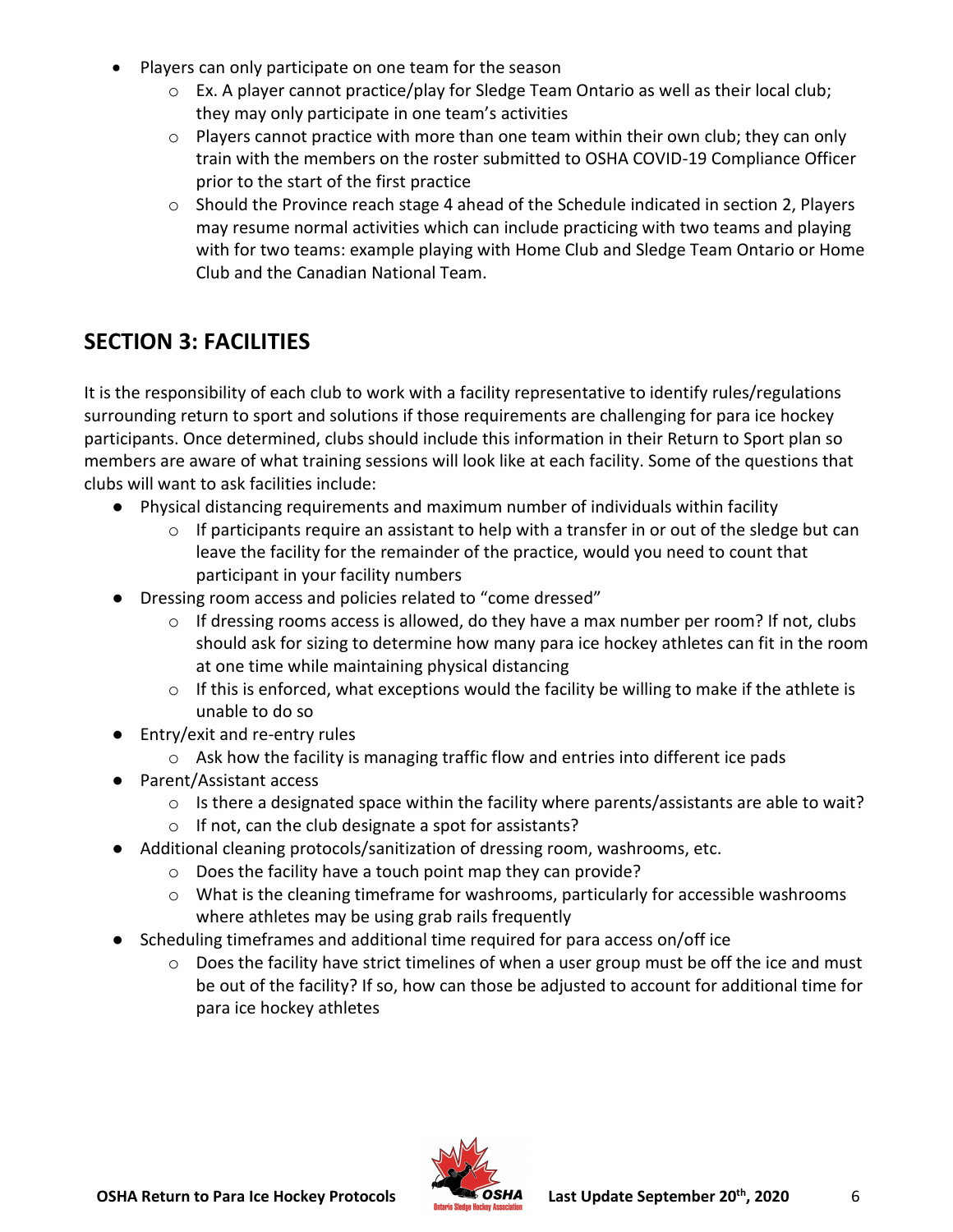- Players can only participate on one team for the season
	- o Ex. A player cannot practice/play for Sledge Team Ontario as well as their local club; they may only participate in one team's activities
	- o Players cannot practice with more than one team within their own club; they can only train with the members on the roster submitted to OSHA COVID-19 Compliance Officer prior to the start of the first practice
	- o Should the Province reach stage 4 ahead of the Schedule indicated in section 2, Players may resume normal activities which can include practicing with two teams and playing with for two teams: example playing with Home Club and Sledge Team Ontario or Home Club and the Canadian National Team.

## <span id="page-5-0"></span>**SECTION 3: FACILITIES**

It is the responsibility of each club to work with a facility representative to identify rules/regulations surrounding return to sport and solutions if those requirements are challenging for para ice hockey participants. Once determined, clubs should include this information in their Return to Sport plan so members are aware of what training sessions will look like at each facility. Some of the questions that clubs will want to ask facilities include:

- Physical distancing requirements and maximum number of individuals within facility
	- o If participants require an assistant to help with a transfer in or out of the sledge but can leave the facility for the remainder of the practice, would you need to count that participant in your facility numbers
- Dressing room access and policies related to "come dressed"
	- $\circ$  If dressing rooms access is allowed, do they have a max number per room? If not, clubs should ask for sizing to determine how many para ice hockey athletes can fit in the room at one time while maintaining physical distancing
	- o If this is enforced, what exceptions would the facility be willing to make if the athlete is unable to do so
- Entry/exit and re-entry rules
	- o Ask how the facility is managing traffic flow and entries into different ice pads
- Parent/Assistant access
	- $\circ$  Is there a designated space within the facility where parents/assistants are able to wait?
	- o If not, can the club designate a spot for assistants?
- Additional cleaning protocols/sanitization of dressing room, washrooms, etc.
	- o Does the facility have a touch point map they can provide?
	- $\circ$  What is the cleaning timeframe for washrooms, particularly for accessible washrooms where athletes may be using grab rails frequently
- Scheduling timeframes and additional time required for para access on/off ice
	- $\circ$  Does the facility have strict timelines of when a user group must be off the ice and must be out of the facility? If so, how can those be adjusted to account for additional time for para ice hockey athletes

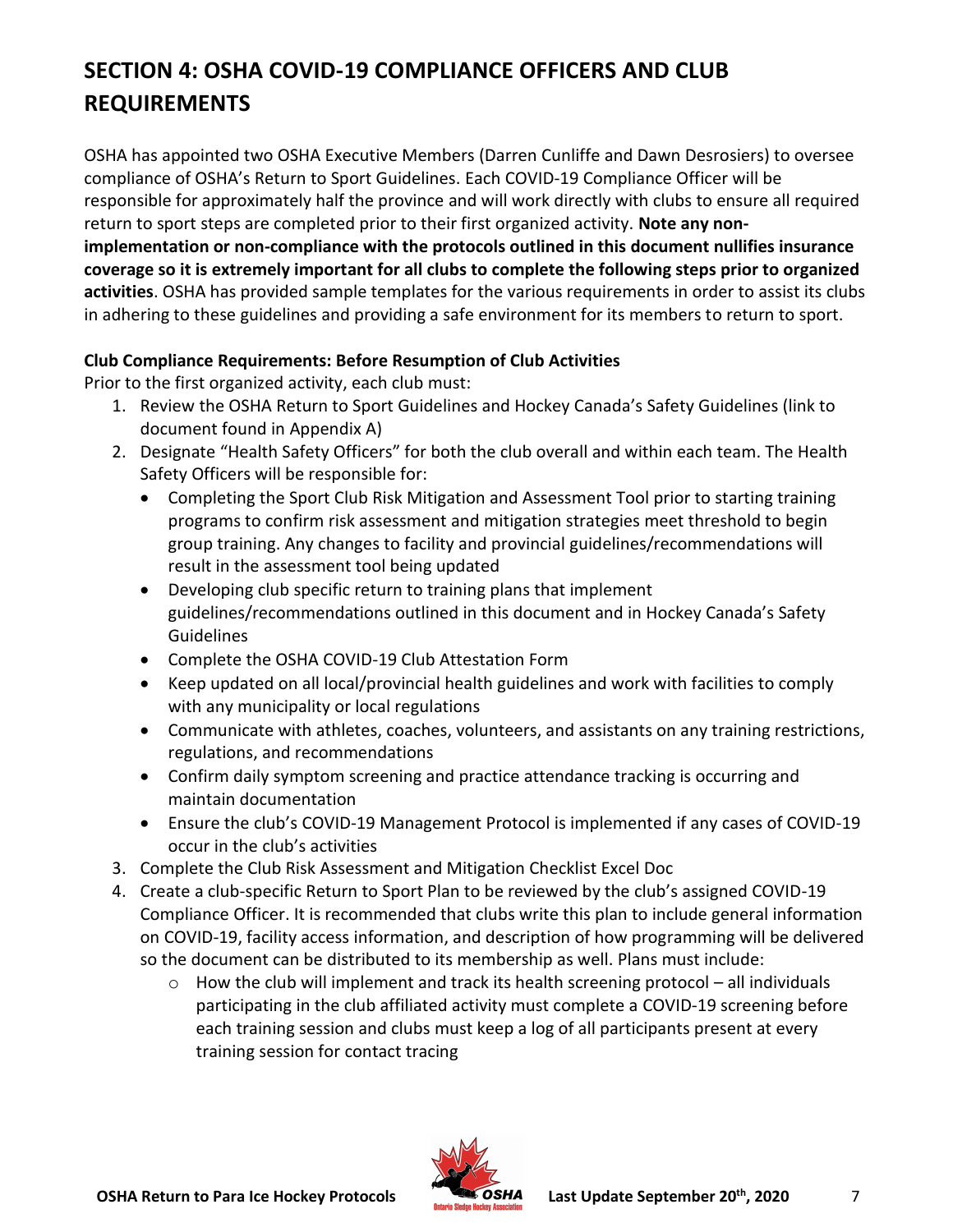## <span id="page-6-0"></span>**SECTION 4: OSHA COVID-19 COMPLIANCE OFFICERS AND CLUB REQUIREMENTS**

OSHA has appointed two OSHA Executive Members (Darren Cunliffe and Dawn Desrosiers) to oversee compliance of OSHA's Return to Sport Guidelines. Each COVID-19 Compliance Officer will be responsible for approximately half the province and will work directly with clubs to ensure all required return to sport steps are completed prior to their first organized activity. **Note any nonimplementation or non-compliance with the protocols outlined in this document nullifies insurance coverage so it is extremely important for all clubs to complete the following steps prior to organized activities**. OSHA has provided sample templates for the various requirements in order to assist its clubs in adhering to these guidelines and providing a safe environment for its members to return to sport.

#### **Club Compliance Requirements: Before Resumption of Club Activities**

Prior to the first organized activity, each club must:

- 1. Review the OSHA Return to Sport Guidelines and Hockey Canada's Safety Guidelines (link to document found in Appendix A)
- 2. Designate "Health Safety Officers" for both the club overall and within each team. The Health Safety Officers will be responsible for:
	- Completing the Sport Club Risk Mitigation and Assessment Tool prior to starting training programs to confirm risk assessment and mitigation strategies meet threshold to begin group training. Any changes to facility and provincial guidelines/recommendations will result in the assessment tool being updated
	- Developing club specific return to training plans that implement guidelines/recommendations outlined in this document and in Hockey Canada's Safety Guidelines
	- Complete the OSHA COVID-19 Club Attestation Form
	- Keep updated on all local/provincial health guidelines and work with facilities to comply with any municipality or local regulations
	- Communicate with athletes, coaches, volunteers, and assistants on any training restrictions, regulations, and recommendations
	- Confirm daily symptom screening and practice attendance tracking is occurring and maintain documentation
	- Ensure the club's COVID-19 Management Protocol is implemented if any cases of COVID-19 occur in the club's activities
- 3. Complete the Club Risk Assessment and Mitigation Checklist Excel Doc
- 4. Create a club-specific Return to Sport Plan to be reviewed by the club's assigned COVID-19 Compliance Officer. It is recommended that clubs write this plan to include general information on COVID-19, facility access information, and description of how programming will be delivered so the document can be distributed to its membership as well. Plans must include:
	- $\circ$  How the club will implement and track its health screening protocol all individuals participating in the club affiliated activity must complete a COVID-19 screening before each training session and clubs must keep a log of all participants present at every training session for contact tracing

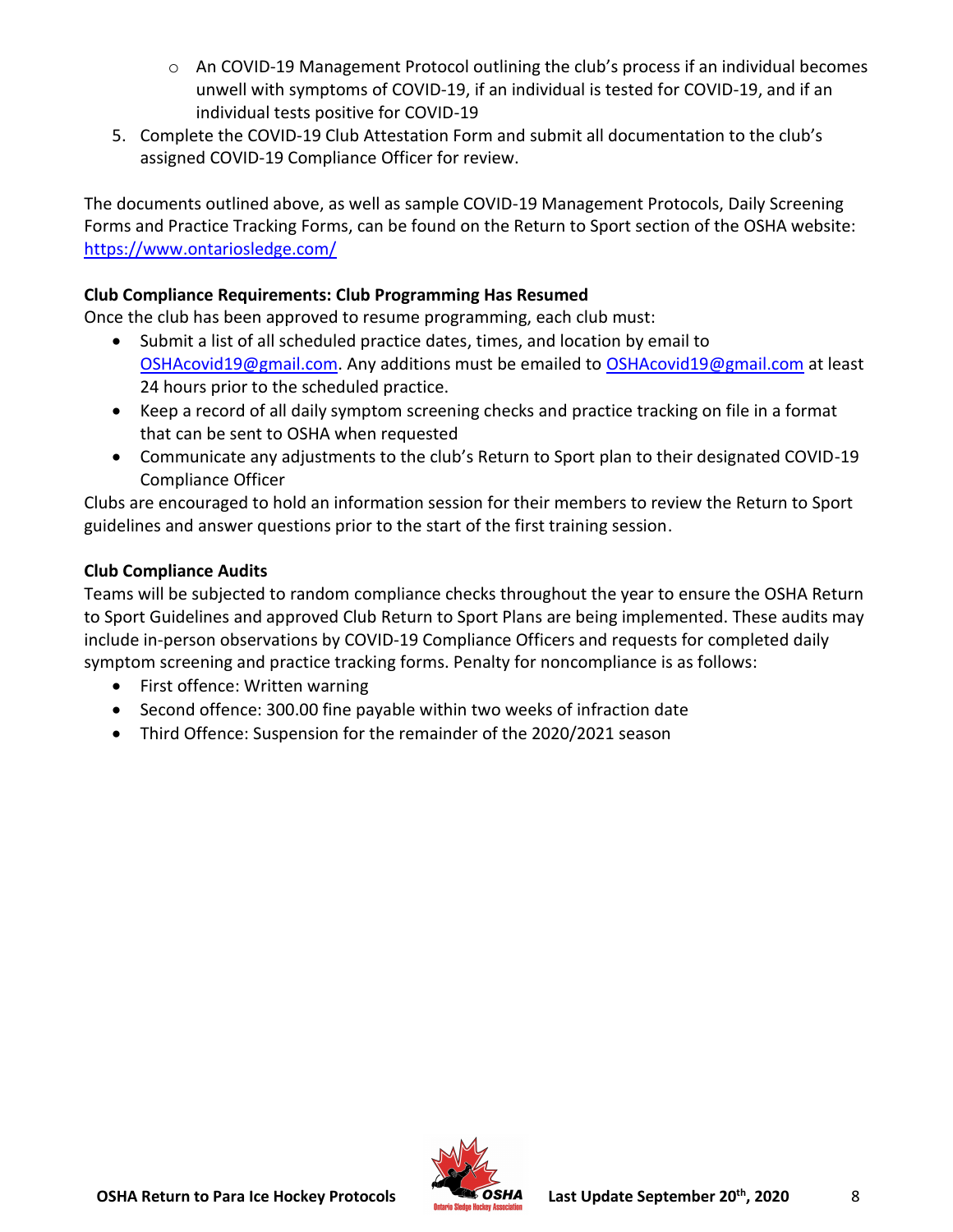- $\circ$  An COVID-19 Management Protocol outlining the club's process if an individual becomes unwell with symptoms of COVID-19, if an individual is tested for COVID-19, and if an individual tests positive for COVID-19
- 5. Complete the COVID-19 Club Attestation Form and submit all documentation to the club's assigned COVID-19 Compliance Officer for review.

The documents outlined above, as well as sample COVID-19 Management Protocols, Daily Screening Forms and Practice Tracking Forms, can be found on the Return to Sport section of the OSHA website: <https://www.ontariosledge.com/>

#### **Club Compliance Requirements: Club Programming Has Resumed**

Once the club has been approved to resume programming, each club must:

- Submit a list of all scheduled practice dates, times, and location by email to [OSHAcovid19@gmail.com.](about:blank) Any additions must be emailed to [OSHAcovid19@gmail.com](about:blank) at least 24 hours prior to the scheduled practice.
- Keep a record of all daily symptom screening checks and practice tracking on file in a format that can be sent to OSHA when requested
- Communicate any adjustments to the club's Return to Sport plan to their designated COVID-19 Compliance Officer

Clubs are encouraged to hold an information session for their members to review the Return to Sport guidelines and answer questions prior to the start of the first training session.

#### **Club Compliance Audits**

Teams will be subjected to random compliance checks throughout the year to ensure the OSHA Return to Sport Guidelines and approved Club Return to Sport Plans are being implemented. These audits may include in-person observations by COVID-19 Compliance Officers and requests for completed daily symptom screening and practice tracking forms. Penalty for noncompliance is as follows:

- First offence: Written warning
- Second offence: 300.00 fine payable within two weeks of infraction date
- Third Offence: Suspension for the remainder of the 2020/2021 season

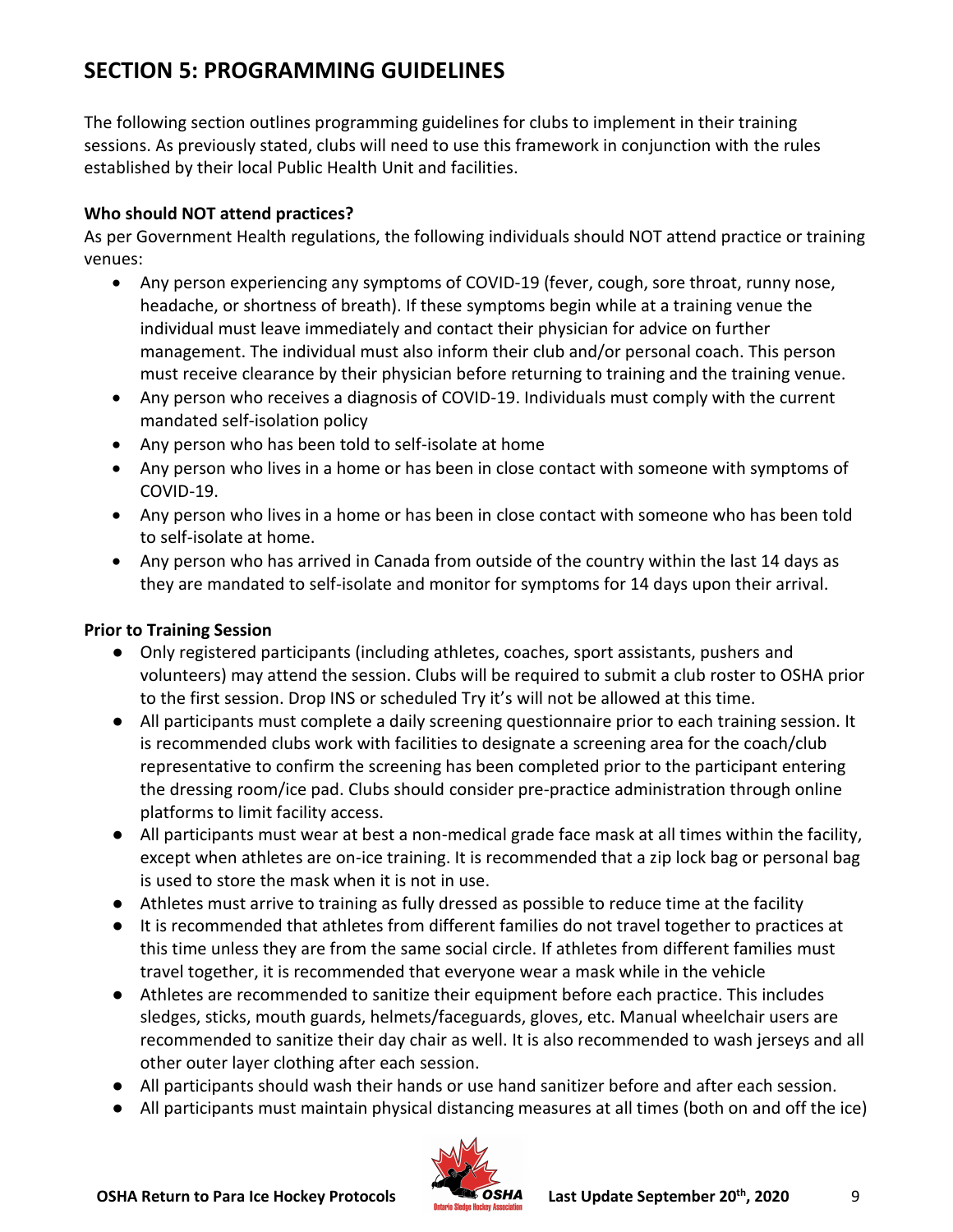## <span id="page-8-0"></span>**SECTION 5: PROGRAMMING GUIDELINES**

The following section outlines programming guidelines for clubs to implement in their training sessions. As previously stated, clubs will need to use this framework in conjunction with the rules established by their local Public Health Unit and facilities.

#### **Who should NOT attend practices?**

As per Government Health regulations, the following individuals should NOT attend practice or training venues:

- Any person experiencing any symptoms of COVID-19 (fever, cough, sore throat, runny nose, headache, or shortness of breath). If these symptoms begin while at a training venue the individual must leave immediately and contact their physician for advice on further management. The individual must also inform their club and/or personal coach. This person must receive clearance by their physician before returning to training and the training venue.
- Any person who receives a diagnosis of COVID-19. Individuals must comply with the current mandated self-isolation policy
- Any person who has been told to self-isolate at home
- Any person who lives in a home or has been in close contact with someone with symptoms of COVID-19.
- Any person who lives in a home or has been in close contact with someone who has been told to self-isolate at home.
- Any person who has arrived in Canada from outside of the country within the last 14 days as they are mandated to self-isolate and monitor for symptoms for 14 days upon their arrival.

#### **Prior to Training Session**

- Only registered participants (including athletes, coaches, sport assistants, pushers and volunteers) may attend the session. Clubs will be required to submit a club roster to OSHA prior to the first session. Drop INS or scheduled Try it's will not be allowed at this time.
- All participants must complete a daily screening questionnaire prior to each training session. It is recommended clubs work with facilities to designate a screening area for the coach/club representative to confirm the screening has been completed prior to the participant entering the dressing room/ice pad. Clubs should consider pre-practice administration through online platforms to limit facility access.
- All participants must wear at best a non-medical grade face mask at all times within the facility, except when athletes are on-ice training. It is recommended that a zip lock bag or personal bag is used to store the mask when it is not in use.
- Athletes must arrive to training as fully dressed as possible to reduce time at the facility
- It is recommended that athletes from different families do not travel together to practices at this time unless they are from the same social circle. If athletes from different families must travel together, it is recommended that everyone wear a mask while in the vehicle
- Athletes are recommended to sanitize their equipment before each practice. This includes sledges, sticks, mouth guards, helmets/faceguards, gloves, etc. Manual wheelchair users are recommended to sanitize their day chair as well. It is also recommended to wash jerseys and all other outer layer clothing after each session.
- All participants should wash their hands or use hand sanitizer before and after each session.
- All participants must maintain physical distancing measures at all times (both on and off the ice)

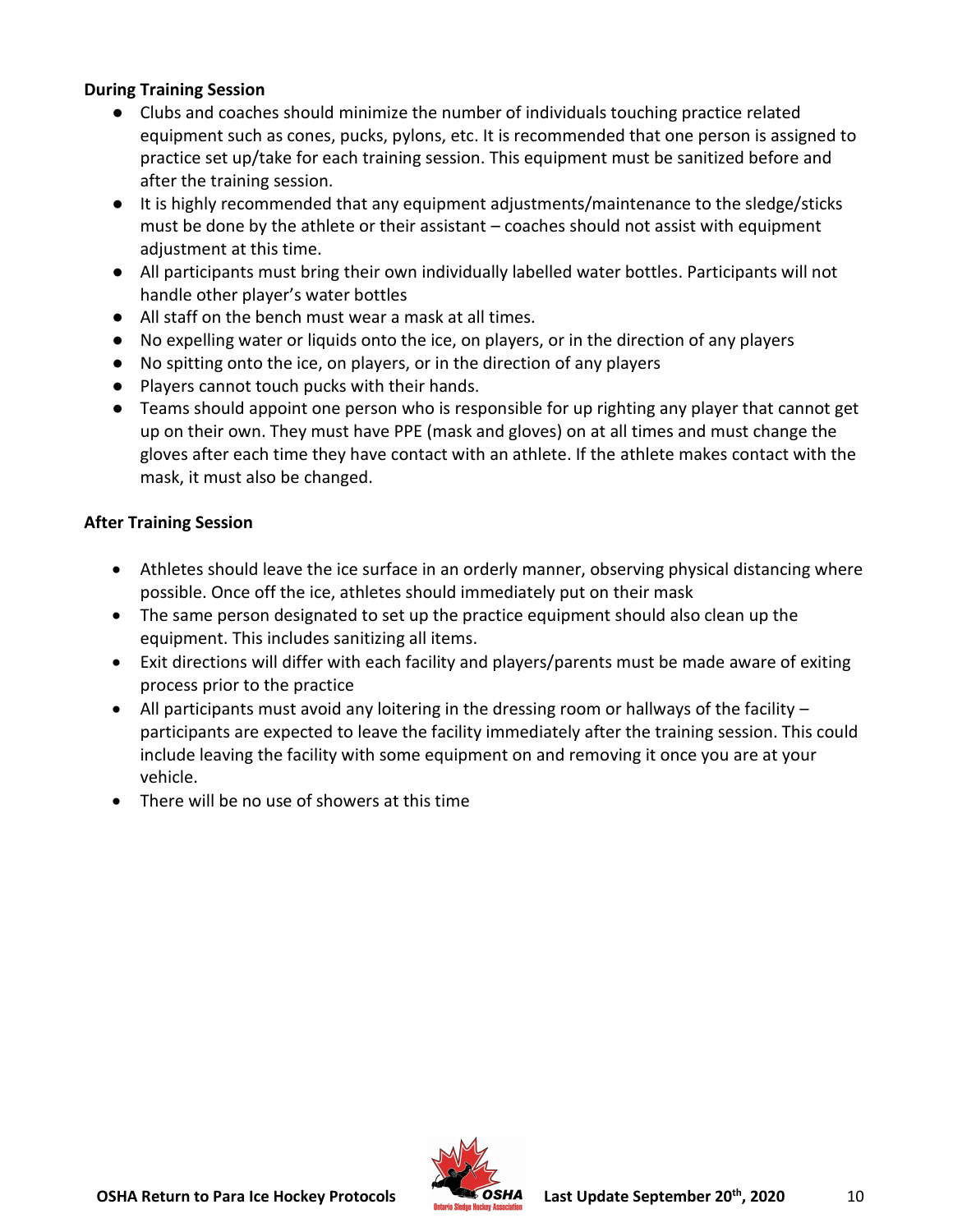#### **During Training Session**

- Clubs and coaches should minimize the number of individuals touching practice related equipment such as cones, pucks, pylons, etc. It is recommended that one person is assigned to practice set up/take for each training session. This equipment must be sanitized before and after the training session.
- It is highly recommended that any equipment adjustments/maintenance to the sledge/sticks must be done by the athlete or their assistant – coaches should not assist with equipment adjustment at this time.
- All participants must bring their own individually labelled water bottles. Participants will not handle other player's water bottles
- All staff on the bench must wear a mask at all times.
- No expelling water or liquids onto the ice, on players, or in the direction of any players
- No spitting onto the ice, on players, or in the direction of any players
- Players cannot touch pucks with their hands.
- Teams should appoint one person who is responsible for up righting any player that cannot get up on their own. They must have PPE (mask and gloves) on at all times and must change the gloves after each time they have contact with an athlete. If the athlete makes contact with the mask, it must also be changed.

#### **After Training Session**

- Athletes should leave the ice surface in an orderly manner, observing physical distancing where possible. Once off the ice, athletes should immediately put on their mask
- The same person designated to set up the practice equipment should also clean up the equipment. This includes sanitizing all items.
- Exit directions will differ with each facility and players/parents must be made aware of exiting process prior to the practice
- All participants must avoid any loitering in the dressing room or hallways of the facility participants are expected to leave the facility immediately after the training session. This could include leaving the facility with some equipment on and removing it once you are at your vehicle.
- There will be no use of showers at this time

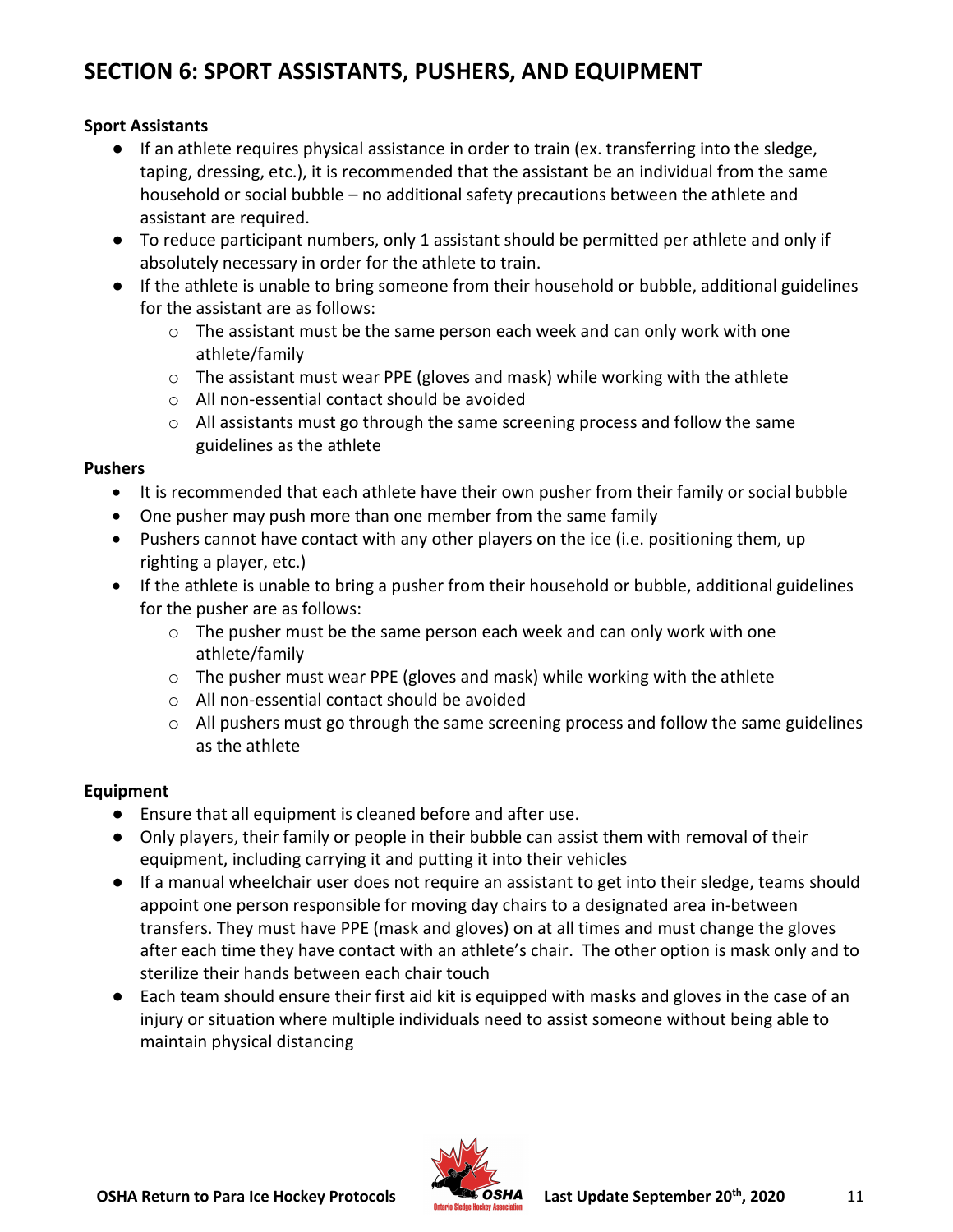### <span id="page-10-0"></span>**SECTION 6: SPORT ASSISTANTS, PUSHERS, AND EQUIPMENT**

#### **Sport Assistants**

- If an athlete requires physical assistance in order to train (ex. transferring into the sledge, taping, dressing, etc.), it is recommended that the assistant be an individual from the same household or social bubble – no additional safety precautions between the athlete and assistant are required.
- To reduce participant numbers, only 1 assistant should be permitted per athlete and only if absolutely necessary in order for the athlete to train.
- If the athlete is unable to bring someone from their household or bubble, additional guidelines for the assistant are as follows:
	- $\circ$  The assistant must be the same person each week and can only work with one athlete/family
	- o The assistant must wear PPE (gloves and mask) while working with the athlete
	- o All non-essential contact should be avoided
	- $\circ$  All assistants must go through the same screening process and follow the same guidelines as the athlete

#### **Pushers**

- It is recommended that each athlete have their own pusher from their family or social bubble
- One pusher may push more than one member from the same family
- Pushers cannot have contact with any other players on the ice (i.e. positioning them, up righting a player, etc.)
- If the athlete is unable to bring a pusher from their household or bubble, additional guidelines for the pusher are as follows:
	- $\circ$  The pusher must be the same person each week and can only work with one athlete/family
	- $\circ$  The pusher must wear PPE (gloves and mask) while working with the athlete
	- o All non-essential contact should be avoided
	- $\circ$  All pushers must go through the same screening process and follow the same guidelines as the athlete

#### **Equipment**

- Ensure that all equipment is cleaned before and after use.
- Only players, their family or people in their bubble can assist them with removal of their equipment, including carrying it and putting it into their vehicles
- If a manual wheelchair user does not require an assistant to get into their sledge, teams should appoint one person responsible for moving day chairs to a designated area in-between transfers. They must have PPE (mask and gloves) on at all times and must change the gloves after each time they have contact with an athlete's chair. The other option is mask only and to sterilize their hands between each chair touch
- Each team should ensure their first aid kit is equipped with masks and gloves in the case of an injury or situation where multiple individuals need to assist someone without being able to maintain physical distancing